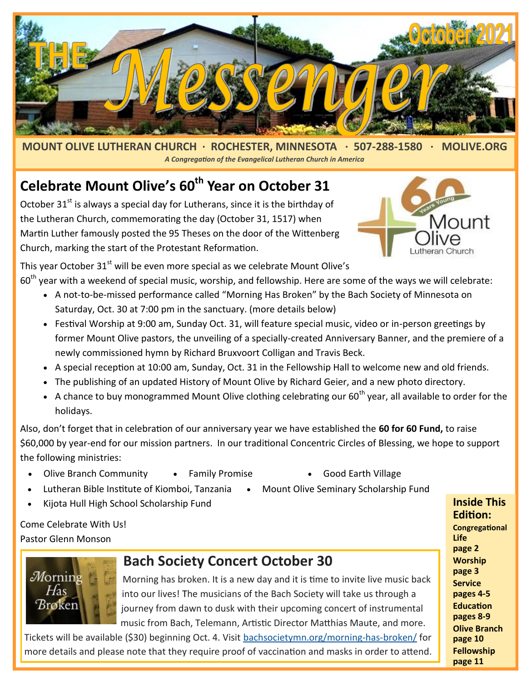

**MOUNT OLIVE LUTHERAN CHURCH · ROCHESTER, MINNESOTA · 507-288-1580 · MOLIVE.ORG**  *A Congregation of the Evangelical Lutheran Church in America*

#### **Celebrate Mount Olive's 60th Year on October 31**

October  $31<sup>st</sup>$  is always a special day for Lutherans, since it is the birthday of the Lutheran Church, commemorating the day (October 31, 1517) when Martin Luther famously posted the 95 Theses on the door of the Wittenberg Church, marking the start of the Protestant Reformation.



This year October 31<sup>st</sup> will be even more special as we celebrate Mount Olive's  $60<sup>th</sup>$  year with a weekend of special music, worship, and fellowship. Here are some of the ways we will celebrate:

- A not-to-be-missed performance called "Morning Has Broken" by the Bach Society of Minnesota on Saturday, Oct. 30 at 7:00 pm in the sanctuary. (more details below)
- Festival Worship at 9:00 am, Sunday Oct. 31, will feature special music, video or in-person greetings by former Mount Olive pastors, the unveiling of a specially-created Anniversary Banner, and the premiere of a newly commissioned hymn by Richard Bruxvoort Colligan and Travis Beck.
- A special reception at 10:00 am, Sunday, Oct. 31 in the Fellowship Hall to welcome new and old friends.
- The publishing of an updated History of Mount Olive by Richard Geier, and a new photo directory.
- A chance to buy monogrammed Mount Olive clothing celebrating our  $60<sup>th</sup>$  year, all available to order for the holidays.

Also, don't forget that in celebration of our anniversary year we have established the **60 for 60 Fund,** to raise \$60,000 by year-end for our mission partners. In our traditional Concentric Circles of Blessing, we hope to support the following ministries:

- Olive Branch Community Family Promise Good Earth Village
- 
- Lutheran Bible Institute of Kiomboi, Tanzania Mount Olive Seminary Scholarship Fund
- Kijota Hull High School Scholarship Fund

Come Celebrate With Us! Pastor Glenn Monson

Mornin Has **Broken** 

#### **Bach Society Concert October 30**

Morning has broken. It is a new day and it is time to invite live music back into our lives! The musicians of the Bach Society will take us through a journey from dawn to dusk with their upcoming concert of instrumental music from Bach, Telemann, Artistic Director Matthias Maute, and more.

Tickets will be available (\$30) beginning Oct. 4. Visit [bachsocietymn.org/morning](https://bachsocietymn.org/morning-has-broken/)-has-broken/ for more details and please note that they require proof of vaccination and masks in order to attend.

**Edition: Congregational Life page 2 Worship page 3 Service pages 4-5 Education pages 8-9 Olive Branch page 10 Fellowship page 11**

**Inside This**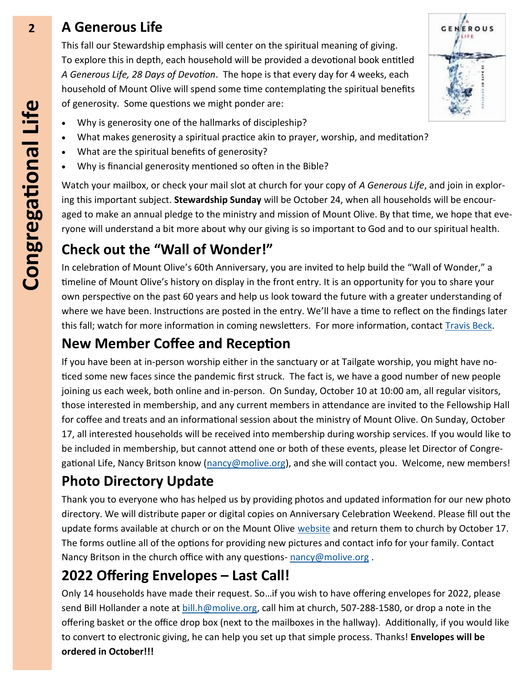#### **2 A Generous Life**

This fall our Stewardship emphasis will center on the spiritual meaning of giving. To explore this in depth, each household will be provided a devotional book entitled *A Generous Life, 28 Days of Devotion*. The hope is that every day for 4 weeks, each household of Mount Olive will spend some time contemplating the spiritual benefits of generosity. Some questions we might ponder are:

- Why is generosity one of the hallmarks of discipleship?
- What makes generosity a spiritual practice akin to prayer, worship, and meditation?
- What are the spiritual benefits of generosity?
- Why is financial generosity mentioned so often in the Bible?

Watch your mailbox, or check your mail slot at church for your copy of *A Generous Life*, and join in exploring this important subject. **Stewardship Sunday** will be October 24, when all households will be encouraged to make an annual pledge to the ministry and mission of Mount Olive. By that time, we hope that everyone will understand a bit more about why our giving is so important to God and to our spiritual health.

GENEROUS

#### **Check out the "Wall of Wonder!"**

In celebration of Mount Olive's 60th Anniversary, you are invited to help build the "Wall of Wonder," a timeline of Mount Olive's history on display in the front entry. It is an opportunity for you to share your own perspective on the past 60 years and help us look toward the future with a greater understanding of where we have been. Instructions are posted in the entry. We'll have a time to reflect on the findings later this fall; watch for more information in coming newsletters. For more information, contact Travis Beck.

#### **New Member Coffee and Reception**

If you have been at in-person worship either in the sanctuary or at Tailgate worship, you might have noticed some new faces since the pandemic first struck. The fact is, we have a good number of new people joining us each week, both online and in-person. On Sunday, October 10 at 10:00 am, all regular visitors, those interested in membership, and any current members in attendance are invited to the Fellowship Hall for coffee and treats and an informational session about the ministry of Mount Olive. On Sunday, October 17, all interested households will be received into membership during worship services. If you would like to be included in membership, but cannot attend one or both of these events, please let Director of Congre-gational Life, Nancy Britson know [\(nancy@molive.org\)](mailto:nancy@molive.org), and she will contact you. Welcome, new members!

#### **Photo Directory Update**

Thank you to everyone who has helped us by providing photos and updated information for our new photo directory. We will distribute paper or digital copies on Anniversary Celebration Weekend. Please fill out the update forms available at church or on the Mount Olive [website](http://www.molive.org) and return them to church by October 17. The forms outline all of the options for providing new pictures and contact info for your family. Contact Nancy Britson in the church office with any questions- [nancy@molive.org](mailto:nancy@molive.org) .

#### **2022 Offering Envelopes – Last Call!**

Only 14 households have made their request. So…if you wish to have offering envelopes for 2022, please send Bill Hollander a note at [bill.h@molive.org,](mailto:bill.h@molive.org) call him at church, 507-288-[1580,](tel:5072881580) or drop a note in the offering basket or the office drop box (next to the mailboxes in the hallway). Additionally, if you would like to convert to electronic giving, he can help you set up that simple process. Thanks! **Envelopes will be ordered in October!!!**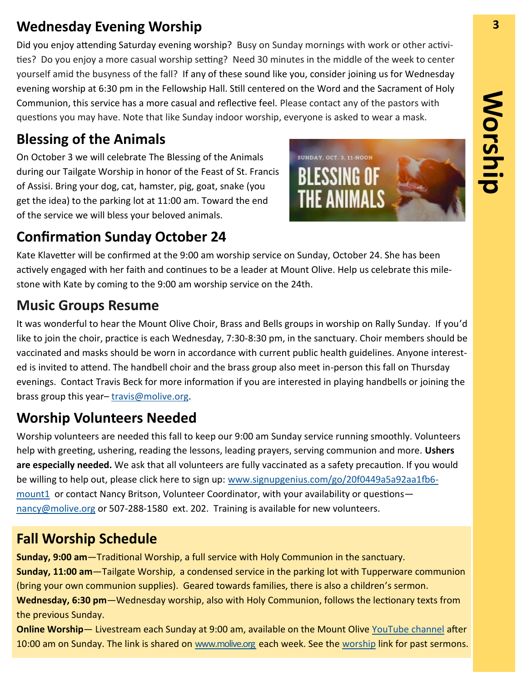#### **Wednesday Evening Worship 3**

Did you enjoy attending Saturday evening worship? Busy on Sunday mornings with work or other activities? Do you enjoy a more casual worship setting? Need 30 minutes in the middle of the week to center yourself amid the busyness of the fall? If any of these sound like you, consider joining us for Wednesday evening worship at 6:30 pm in the Fellowship Hall. Still centered on the Word and the Sacrament of Holy Communion, this service has a more casual and reflective feel. Please contact any of the pastors with questions you may have. Note that like Sunday indoor worship, everyone is asked to wear a mask.

#### **Blessing of the Animals**

On October 3 we will celebrate The Blessing of the Animals during our Tailgate Worship in honor of the Feast of St. Francis of Assisi. Bring your dog, cat, hamster, pig, goat, snake (you get the idea) to the parking lot at 11:00 am. Toward the end of the service we will bless your beloved animals.



### **Confirmation Sunday October 24**

Kate Klavetter will be confirmed at the 9:00 am worship service on Sunday, October 24. She has been actively engaged with her faith and continues to be a leader at Mount Olive. Help us celebrate this milestone with Kate by coming to the 9:00 am worship service on the 24th.

#### **Music Groups Resume**

It was wonderful to hear the Mount Olive Choir, Brass and Bells groups in worship on Rally Sunday. If you'd like to join the choir, practice is each Wednesday, 7:30-8:30 pm, in the sanctuary. Choir members should be vaccinated and masks should be worn in accordance with current public health guidelines. Anyone interested is invited to attend. The handbell choir and the brass group also meet in-person this fall on Thursday evenings. Contact Travis Beck for more information if you are interested in playing handbells or joining the brass group this year-[travis@molive.org.](mailto:travis@molive.org)

#### **Worship Volunteers Needed**

Worship volunteers are needed this fall to keep our 9:00 am Sunday service running smoothly. Volunteers help with greeting, ushering, reading the lessons, leading prayers, serving communion and more. **Ushers are especially needed.** We ask that all volunteers are fully vaccinated as a safety precaution. If you would be willing to help out, please click here to sign up: [www.signupgenius.com/go/20f0449a5a92aa1fb6](https://www.signupgenius.com/go/20f0449a5a92aa1fb6-mount1) [mount1](https://www.signupgenius.com/go/20f0449a5a92aa1fb6-mount1) or contact Nancy Britson, Volunteer Coordinator, with your availability or questions [nancy@molive.org](mailto:nancy@molive.org) or 507-288-1580 ext. 202. Training is available for new volunteers.

#### **Fall Worship Schedule**

**Sunday, 9:00 am**—Traditional Worship, a full service with Holy Communion in the sanctuary. **Sunday, 11:00 am**—Tailgate Worship, a condensed service in the parking lot with Tupperware communion (bring your own communion supplies). Geared towards families, there is also a children's sermon. **Wednesday, 6:30 pm**—Wednesday worship, also with Holy Communion, follows the lectionary texts from the previous Sunday.

**Online Worship**— Livestream each Sunday at 9:00 am, available on the Mount Olive [YouTube channel](https://www.youtube.com/user/MountOliveELCA) after 10:00 am on Sunday. The link is shared on [www.molive.org e](http://www.molive.org)ach week. See the [worship](http://molive.org/index.php/worship) link for past sermons.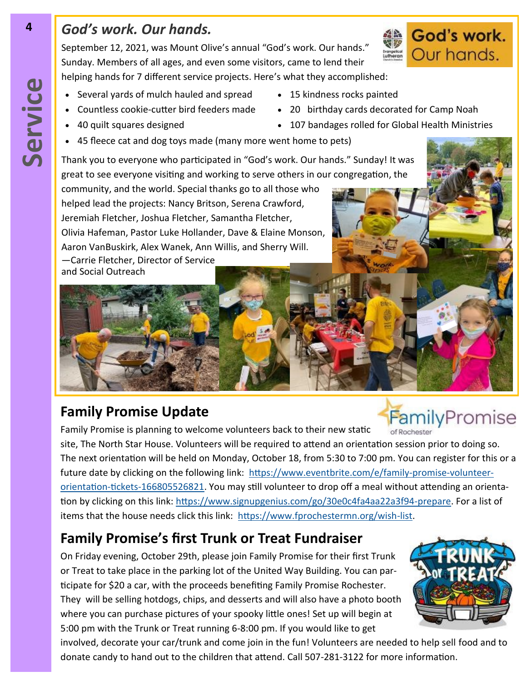#### *God's work. Our hands.*

September 12, 2021, was Mount Olive's annual "God's work. Our hands." Sunday. Members of all ages, and even some visitors, came to lend their helping hands for 7 different service projects. Here's what they accomplished:

- Several yards of mulch hauled and spread 15 kindness rocks painted
- 
- 
- 45 fleece cat and dog toys made (many more went home to pets)

Thank you to everyone who participated in "God's work. Our hands." Sunday! It was great to see everyone visiting and working to serve others in our congregation, the

community, and the world. Special thanks go to all those who helped lead the projects: Nancy Britson, Serena Crawford, Jeremiah Fletcher, Joshua Fletcher, Samantha Fletcher, Olivia Hafeman, Pastor Luke Hollander, Dave & Elaine Monson, Aaron VanBuskirk, Alex Wanek, Ann Willis, and Sherry Will. —Carrie Fletcher, Director of Service and Social Outreach

#### **Family Promise Update**

Family Promise is planning to welcome volunteers back to their new static site, The North Star House. Volunteers will be required to attend an orientation session prior to doing so. The next orientation will be held on Monday, October 18, from 5:30 to 7:00 pm. You can register for this or a future date by clicking on the following link: [https://www.eventbrite.com/e/family](https://www.eventbrite.com/e/family-promise-volunteer-orientation-tickets-166805526821)-promise-volunteerorientation-tickets-[166805526821.](https://www.eventbrite.com/e/family-promise-volunteer-orientation-tickets-166805526821) You may still volunteer to drop off a meal without attending an orientation by clicking on this link: [https://www.signupgenius.com/go/30e0c4fa4aa22a3f94](https://www.signupgenius.com/go/30e0c4fa4aa22a3f94-prepare)-prepare. For a list of items that the house needs click this link: [https://www.fprochestermn.org/wish](https://www.fprochestermn.org/wish-list)-list.

#### **Family Promise's first Trunk or Treat Fundraiser**

On Friday evening, October 29th, please join Family Promise for their first Trunk or Treat to take place in the parking lot of the United Way Building. You can participate for \$20 a car, with the proceeds benefiting Family Promise Rochester. They will be selling hotdogs, chips, and desserts and will also have a photo booth where you can purchase pictures of your spooky little ones! Set up will begin at 5:00 pm with the Trunk or Treat running 6-8:00 pm. If you would like to get

involved, decorate your car/trunk and come join in the fun! Volunteers are needed to help sell food and to donate candy to hand out to the children that attend. Call 507-281-3122 for more information.

**4**



#### God's work. Our hands. Evangelical<br>Lutheran

- 
- Countless cookie-cutter bird feeders made 20 birthday cards decorated for Camp Noah
- 40 quilt squares designed 107 bandages rolled for Global Health Ministries

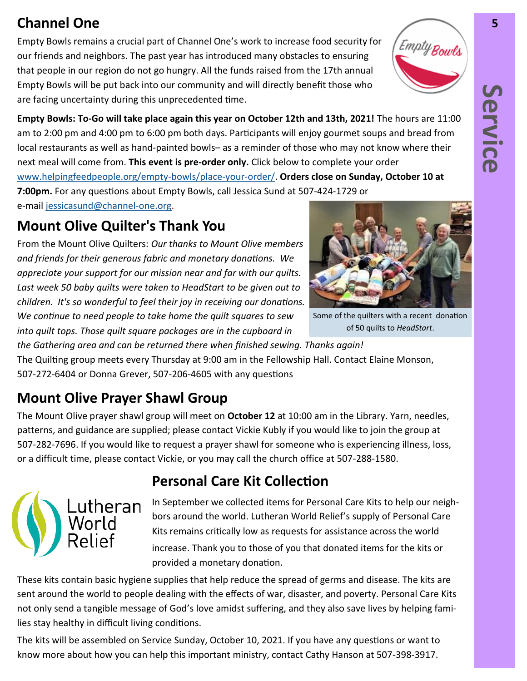#### **Channel One 5**

Empty Bowls remains a crucial part of Channel One's work to increase food security for our friends and neighbors. The past year has introduced many obstacles to ensuring that people in our region do not go hungry. All the funds raised from the 17th annual Empty Bowls will be put back into our community and will directly benefit those who are facing uncertainty during this unprecedented time.

**Empty Bowls: To-Go will take place again this year on October 12th and 13th, 2021!** The hours are 11:00 am to 2:00 pm and 4:00 pm to 6:00 pm both days. Participants will enjoy gourmet soups and bread from local restaurants as well as hand-painted bowls– as a reminder of those who may not know where their next meal will come from. **This event is pre-order only.** Click below to complete your order [www.helpingfeedpeople.org/empty](https://www.helpingfeedpeople.org/empty-bowls/place-your-order/)-bowls/place-your-order/. **Orders close on Sunday, October 10 at 7:00pm.** For any questions about Empty Bowls, call Jessica Sund at 507-424-[1729](tel:5074241729) or e-mail [jessicasund@channel](mailto:jessicasund@channel-one.org)-one.org.

#### **Mount Olive Quilter's Thank You**

From the Mount Olive Quilters: *Our thanks to Mount Olive members and friends for their generous fabric and monetary donations. We appreciate your support for our mission near and far with our quilts. Last week 50 baby quilts were taken to HeadStart to be given out to children. It's so wonderful to feel their joy in receiving our donations. We continue to need people to take home the quilt squares to sew into quilt tops. Those quilt square packages are in the cupboard in* 

*the Gathering area and can be returned there when finished sewing. Thanks again!* The Quilting group meets every Thursday at 9:00 am in the Fellowship Hall. Contact Elaine Monson, 507-272-6404 or Donna Grever, 507-206-4605 with any questions

#### **Mount Olive Prayer Shawl Group**

utheran.

The Mount Olive prayer shawl group will meet on **October 12** at 10:00 am in the Library. Yarn, needles, patterns, and guidance are supplied; please contact Vickie Kubly if you would like to join the group at 507-282-7696. If you would like to request a prayer shawl for someone who is experiencing illness, loss, or a difficult time, please contact Vickie, or you may call the church office at 507-288-1580.

#### **Personal Care Kit Collection**

In September we collected items for Personal Care Kits to help our neighbors around the world. Lutheran World Relief's supply of Personal Care Kits remains critically low as requests for assistance across the world increase. Thank you to those of you that donated items for the kits or provided a monetary donation.

These kits contain basic hygiene supplies that help reduce the spread of germs and disease. The kits are sent around the world to people dealing with the effects of war, disaster, and poverty. Personal Care Kits not only send a tangible message of God's love amidst suffering, and they also save lives by helping families stay healthy in difficult living conditions.

The kits will be assembled on Service Sunday, October 10, 2021. If you have any questions or want to know more about how you can help this important ministry, contact Cathy Hanson at 507-398-3917.



Some of the quilters with a recent donation of 50 quilts to *HeadStart*.

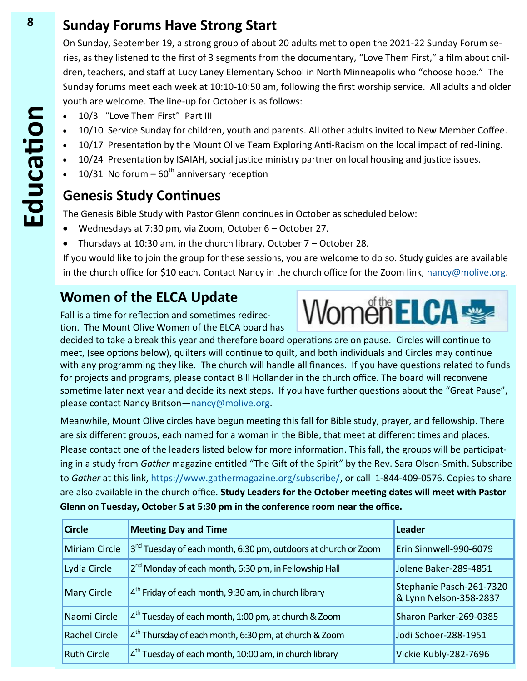#### **8 Sunday Forums Have Strong Start**

On Sunday, September 19, a strong group of about 20 adults met to open the 2021-22 Sunday Forum series, as they listened to the first of 3 segments from the documentary, "Love Them First," a film about children, teachers, and staff at Lucy Laney Elementary School in North Minneapolis who "choose hope." The Sunday forums meet each week at 10:10-10:50 am, following the first worship service. All adults and older youth are welcome. The line-up for October is as follows:

- 10/3 "Love Them First" Part III
- 10/10 Service Sunday for children, youth and parents. All other adults invited to New Member Coffee.
- 10/17 Presentation by the Mount Olive Team Exploring Anti-Racism on the local impact of red-lining.
- 10/24 Presentation by ISAIAH, social justice ministry partner on local housing and justice issues.
- 10/31 No forum  $-60^{th}$  anniversary reception

#### **Genesis Study Continues**

The Genesis Bible Study with Pastor Glenn continues in October as scheduled below:

- Wednesdays at 7:30 pm, via Zoom, October 6 October 27.
- Thursdays at 10:30 am, in the church library, October 7 October 28.

If you would like to join the group for these sessions, you are welcome to do so. Study guides are available in the church office for \$10 each. Contact Nancy in the church office for the Zoom link, [nancy@molive.org.](mailto:nancy@molive.org)

#### **Women of the ELCA Update**

Fall is a time for reflection and sometimes redirection. The Mount Olive Women of the ELCA board has

decided to take a break this year and therefore board operations are on pause. Circles will continue to meet, (see options below), quilters will continue to quilt, and both individuals and Circles may continue with any programming they like. The church will handle all finances. If you have questions related to funds for projects and programs, please contact Bill Hollander in the church office. The board will reconvene sometime later next year and decide its next steps. If you have further questions about the "Great Pause", please contact Nancy Britson—[nancy@molive.org.](mailto:nancy@molive.org) 

Meanwhile, Mount Olive circles have begun meeting this fall for Bible study, prayer, and fellowship. There are six different groups, each named for a woman in the Bible, that meet at different times and places. Please contact one of the leaders listed below for more information. This fall, the groups will be participating in a study from *Gather* magazine entitled "The Gift of the Spirit" by the Rev. Sara Olson-Smith. Subscribe to *Gather* at this link, [https://www.gathermagazine.org/subscribe/,](https://www.gathermagazine.org/subscribe/) or call 1-844-409-0576. Copies to share are also available in the church office. **Study Leaders for the October meeting dates will meet with Pastor Glenn on Tuesday, October 5 at 5:30 pm in the conference room near the office.** 

| <b>Circle</b>        | <b>Meeting Day and Time</b>                                       | Leader                                             |
|----------------------|-------------------------------------------------------------------|----------------------------------------------------|
| <b>Miriam Circle</b> | $3nd$ Tuesday of each month, 6:30 pm, outdoors at church or Zoom  | Erin Sinnwell-990-6079                             |
| Lydia Circle         | 2 <sup>nd</sup> Monday of each month, 6:30 pm, in Fellowship Hall | Jolene Baker-289-4851                              |
| <b>Mary Circle</b>   | $4th$ Friday of each month, 9:30 am, in church library            | Stephanie Pasch-261-7320<br>& Lynn Nelson-358-2837 |
| Naomi Circle         | $4th$ Tuesday of each month, 1:00 pm, at church & Zoom            | Sharon Parker-269-0385                             |
| <b>Rachel Circle</b> | $4th$ Thursday of each month, 6:30 pm, at church & Zoom           | Jodi Schoer-288-1951                               |
| <b>Ruth Circle</b>   | $4th$ Tuesday of each month, 10:00 am, in church library          | Vickie Kubly-282-7696                              |

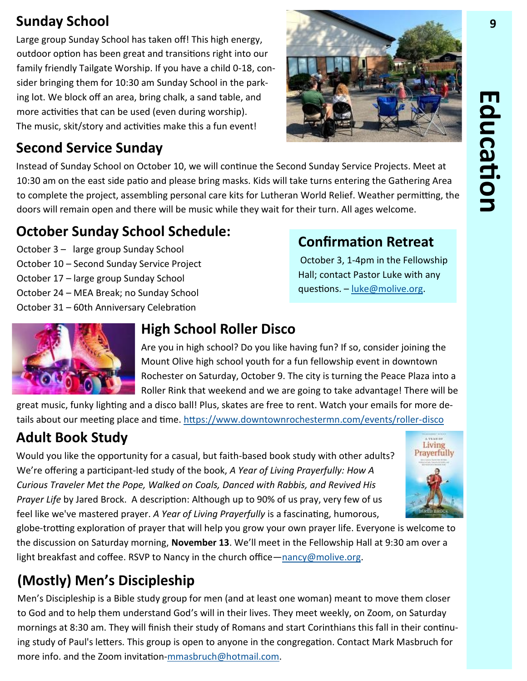# Education **Education**

Large group Sunday School has taken off! This high energy, outdoor option has been great and transitions right into our family friendly Tailgate Worship. If you have a child 0-18, consider bringing them for 10:30 am Sunday School in the parking lot. We block off an area, bring chalk, a sand table, and more activities that can be used (even during worship). The music, skit/story and activities make this a fun event!

# **Sunday School 9**

**Second Service Sunday**

Instead of Sunday School on October 10, we will continue the Second Sunday Service Projects. Meet at 10:30 am on the east side patio and please bring masks. Kids will take turns entering the Gathering Area to complete the project, assembling personal care kits for Lutheran World Relief. Weather permitting, the doors will remain open and there will be music while they wait for their turn. All ages welcome.

### **October Sunday School Schedule:**

October 3 – large group Sunday School October 10 – Second Sunday Service Project October 17 – large group Sunday School October 24 – MEA Break; no Sunday School October 31 – 60th Anniversary Celebration

#### **Confirmation Retreat**

October 3, 1-4pm in the Fellowship Hall; contact Pastor Luke with any questions. – [luke@molive.org.](mailto:luke@molive.org)



#### **High School Roller Disco**

Are you in high school? Do you like having fun? If so, consider joining the Mount Olive high school youth for a fun fellowship event in downtown Rochester on Saturday, October 9. The city is turning the Peace Plaza into a Roller Rink that weekend and we are going to take advantage! There will be

great music, funky lighting and a disco ball! Plus, skates are free to rent. Watch your emails for more details about our meeting place and time. [https://www.downtownrochestermn.com/events/roller](https://www.downtownrochestermn.com/events/roller-disco)-disco

## **Adult Book Study**

Would you like the opportunity for a casual, but faith-based book study with other adults? We're offering a participant-led study of the book, *A Year of Living Prayerfully: How A Curious Traveler Met the Pope, Walked on Coals, Danced with Rabbis, and Revived His Prayer Life* by Jared Brock. A description: Although up to 90% of us pray, very few of us feel like we've mastered prayer. *A Year of Living Prayerfully* is a fascinating, humorous,

globe-trotting exploration of prayer that will help you grow your own prayer life. Everyone is welcome to the discussion on Saturday morning, **November 13**. We'll meet in the Fellowship Hall at 9:30 am over a light breakfast and coffee. RSVP to Nancy in the church office—[nancy@molive.org.](mailto:nancy@molive.org)

# **(Mostly) Men's Discipleship**

Men's Discipleship is a Bible study group for men (and at least one woman) meant to move them closer to God and to help them understand God's will in their lives. They meet weekly, on Zoom, on Saturday mornings at 8:30 am. They will finish their study of Romans and start Corinthians this fall in their continuing study of Paul's letters. This group is open to anyone in the congregation. Contact Mark Masbruch for more info. and the Zoom invitation-[mmasbruch@hotmail.com.](mailto:mmasbruch@hotmail.com)

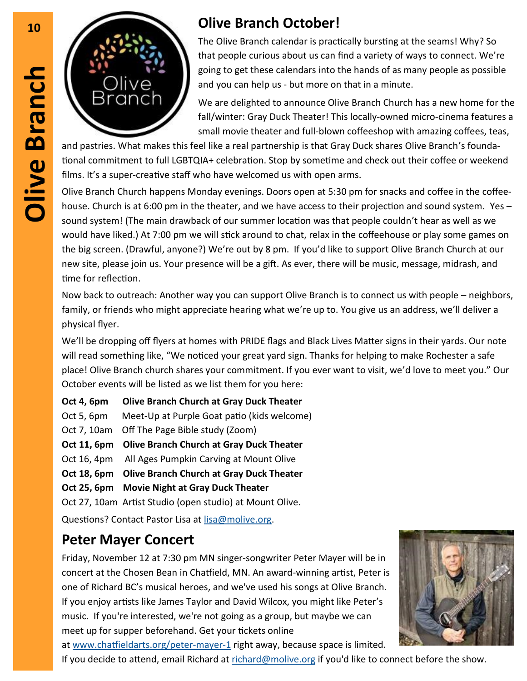

The Olive Branch calendar is practically bursting at the seams! Why? So that people curious about us can find a variety of ways to connect. We're going to get these calendars into the hands of as many people as possible and you can help us - but more on that in a minute.

We are delighted to announce Olive Branch Church has a new home for the fall/winter: Gray Duck Theater! This locally-owned micro-cinema features a small movie theater and full-blown coffeeshop with amazing coffees, teas,

and pastries. What makes this feel like a real partnership is that Gray Duck shares Olive Branch's foundational commitment to full LGBTQIA+ celebration. Stop by sometime and check out their coffee or weekend films. It's a super-creative staff who have welcomed us with open arms.

Olive Branch Church happens Monday evenings. Doors open at 5:30 pm for snacks and coffee in the coffeehouse. Church is at 6:00 pm in the theater, and we have access to their projection and sound system. Yes – sound system! (The main drawback of our summer location was that people couldn't hear as well as we would have liked.) At 7:00 pm we will stick around to chat, relax in the coffeehouse or play some games on the big screen. (Drawful, anyone?) We're out by 8 pm. If you'd like to support Olive Branch Church at our new site, please join us. Your presence will be a gift. As ever, there will be music, message, midrash, and time for reflection.

Now back to outreach: Another way you can support Olive Branch is to connect us with people – neighbors, family, or friends who might appreciate hearing what we're up to. You give us an address, we'll deliver a physical flyer.

We'll be dropping off flyers at homes with PRIDE flags and Black Lives Matter signs in their yards. Our note will read something like, "We noticed your great yard sign. Thanks for helping to make Rochester a safe place! Olive Branch church shares your commitment. If you ever want to visit, we'd love to meet you." Our October events will be listed as we list them for you here:

**Oct 4, 6pm Olive Branch Church at Gray Duck Theater** Oct 5, 6pm Meet-Up at Purple Goat patio (kids welcome) Oct 7, 10am Off The Page Bible study (Zoom) **Oct 11, 6pm Olive Branch Church at Gray Duck Theater** Oct 16, 4pm All Ages Pumpkin Carving at Mount Olive **Oct 18, 6pm Olive Branch Church at Gray Duck Theater Oct 25, 6pm Movie Night at Gray Duck Theater** Oct 27, 10am Artist Studio (open studio) at Mount Olive.

Questions? Contact Pastor Lisa at [lisa@molive.org.](mailto:lisa@molive.org) 

#### **Peter Mayer Concert**

Friday, November 12 at 7:30 pm MN singer-songwriter Peter Mayer will be in concert at the Chosen Bean in Chatfield, MN. An award-winning artist, Peter is one of Richard BC's musical heroes, and we've used his songs at Olive Branch. If you enjoy artists like James Taylor and David Wilcox, you might like Peter's music. If you're interested, we're not going as a group, but maybe we can meet up for supper beforehand. Get your tickets online



at [www.chatfieldarts.org/peter](http://www.chatfieldarts.org/peter-mayer-1)-mayer-1 right away, because space is limited.

If you decide to attend, email Richard at [richard@molive.org](mailto:richard@molive.org) if you'd like to connect before the show.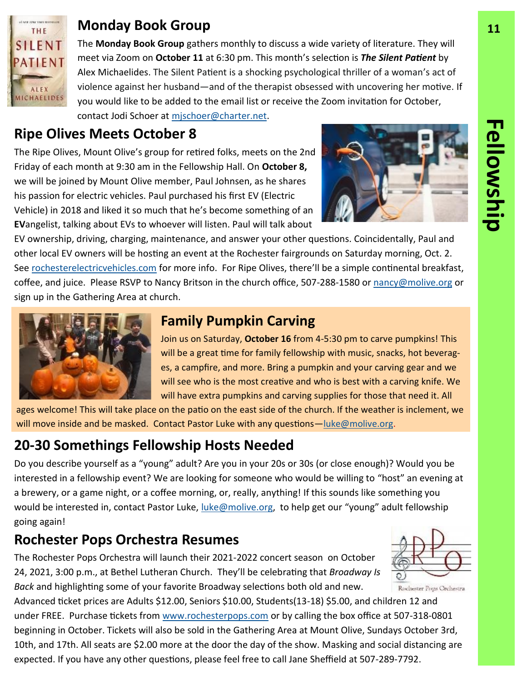

#### **Monday Book Group 11**

The **Monday Book Group** gathers monthly to discuss a wide variety of literature. They will meet via Zoom on **October 11** at 6:30 pm. This month's selection is *The Silent Patient* by Alex Michaelides. The Silent Patient is a shocking psychological thriller of a woman's act of violence against her husband―and of the therapist obsessed with uncovering her motive. If you would like to be added to the email list or receive the Zoom invitation for October, contact Jodi Schoer at [mjschoer@charter.net.](mailto:mjschoer@charter.net)

#### **Ripe Olives Meets October 8**

The Ripe Olives, Mount Olive's group for retired folks, meets on the 2nd Friday of each month at 9:30 am in the Fellowship Hall. On **October 8,**  we will be joined by Mount Olive member, Paul Johnsen, as he shares his passion for electric vehicles. Paul purchased his first EV (Electric Vehicle) in 2018 and liked it so much that he's become something of an **EV**angelist, talking about EVs to whoever will listen. Paul will talk about



EV ownership, driving, charging, maintenance, and answer your other questions. Coincidentally, Paul and other local EV owners will be hosting an event at the Rochester fairgrounds on Saturday morning, Oct. 2. See [rochesterelectricvehicles.com](http://rochesterelectricvehicles.com) for more info. For Ripe Olives, there'll be a simple continental breakfast, coffee, and juice. Please RSVP to Nancy Britson in the church office, 507-288-1580 or [nancy@molive.org](mailto:nancy@molive.org) or sign up in the Gathering Area at church.



#### **Family Pumpkin Carving**

Join us on Saturday, **October 16** from 4-5:30 pm to carve pumpkins! This will be a great time for family fellowship with music, snacks, hot beverages, a campfire, and more. Bring a pumpkin and your carving gear and we will see who is the most creative and who is best with a carving knife. We will have extra pumpkins and carving supplies for those that need it. All

ages welcome! This will take place on the patio on the east side of the church. If the weather is inclement, we will move inside and be masked. Contact Pastor Luke with any questions—luke@molive.org.

#### **20-30 Somethings Fellowship Hosts Needed**

Do you describe yourself as a "young" adult? Are you in your 20s or 30s (or close enough)? Would you be interested in a fellowship event? We are looking for someone who would be willing to "host" an evening at a brewery, or a game night, or a coffee morning, or, really, anything! If this sounds like something you would be interested in, contact Pastor Luke, [luke@molive.org,](mailto:luke@molive.org) to help get our "young" adult fellowship going again!

#### **Rochester Pops Orchestra Resumes**

The Rochester Pops Orchestra will launch their 2021-2022 concert season on October 24, 2021, 3:00 p.m., at Bethel Lutheran Church. They'll be celebrating that *Broadway Is Back* and highlighting some of your favorite Broadway selections both old and new.

Advanced ticket prices are Adults \$12.00, Seniors \$10.00, Students(13-18) \$5.00, and children 12 and under FREE. Purchase tickets from [www.rochesterpops.com](http://www.rochesterpops.com) or by calling the box office at 507-318-0801 beginning in October. Tickets will also be sold in the Gathering Area at Mount Olive, Sundays October 3rd, 10th, and 17th. All seats are \$2.00 more at the door the day of the show. Masking and social distancing are expected. If you have any other questions, please feel free to call Jane Sheffield at 507-289-7792.